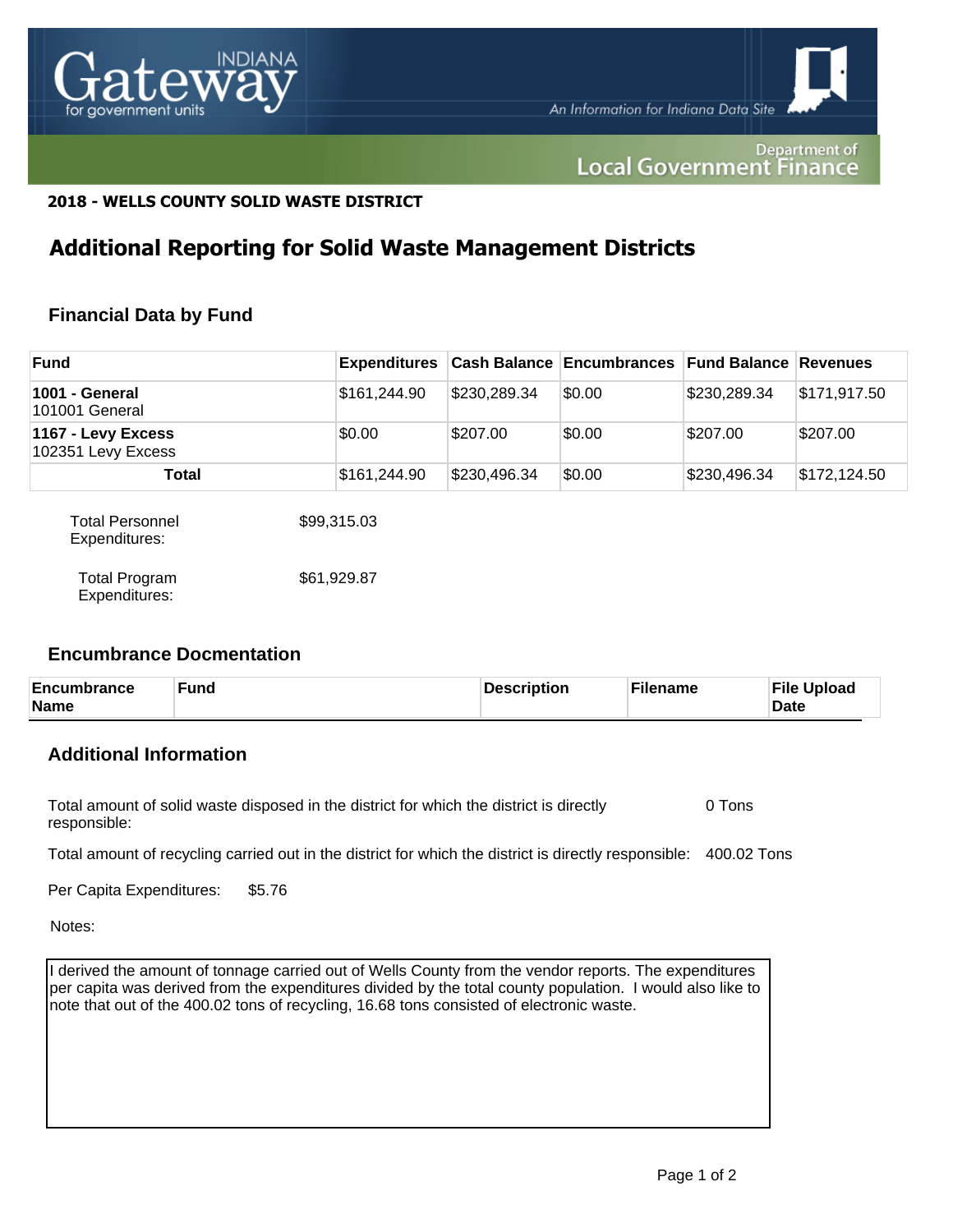

#### Department of **Local Government Finance**

## **2018 - WELLS COUNTY SOLID WASTE DISTRICT**

## **Additional Reporting for Solid Waste Management Districts**

## **Financial Data by Fund**

| <b>Fund</b>                              |              |              | <b>Expenditures</b> Cash Balance Encumbrances Fund Balance Revenues |              |              |
|------------------------------------------|--------------|--------------|---------------------------------------------------------------------|--------------|--------------|
| 1001 - General<br>101001 General         | \$161,244.90 | \$230,289.34 | \$0.00                                                              | \$230,289.34 | \$171,917.50 |
| 1167 - Levy Excess<br>102351 Levy Excess | \$0.00       | \$207.00     | \$0.00                                                              | \$207.00     | \$207.00     |
| Total                                    | \$161,244.90 | \$230,496.34 | \$0.00                                                              | \$230,496.34 | \$172,124.50 |
| <b>Total Personnel</b><br>Expenditures:  | \$99,315.03  |              |                                                                     |              |              |

| <b>Total Program</b> | \$61,929.87 |
|----------------------|-------------|
| Expenditures:        |             |

#### **Encumbrance Docmentation**

| Encumbrance<br>Name | Fund | Description | Filename | <b>File Upload</b><br><b>Date</b> |
|---------------------|------|-------------|----------|-----------------------------------|
|---------------------|------|-------------|----------|-----------------------------------|

## **Additional Information**

Total amount of solid waste disposed in the district for which the district is directly responsible: 0 Tons

Total amount of recycling carried out in the district for which the district is directly responsible: 400.02 Tons

Per Capita Expenditures: \$5.76

Notes:

I derived the amount of tonnage carried out of Wells County from the vendor reports. The expenditures per capita was derived from the expenditures divided by the total county population. I would also like to note that out of the 400.02 tons of recycling, 16.68 tons consisted of electronic waste.